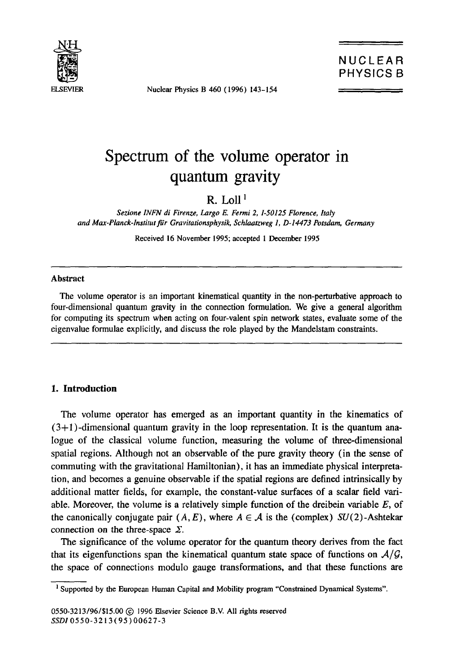

Nuclear Physics B 460 (1996) 143-154

# **Spectrum of the volume operator in quantum gravity**

 $R$  Loll<sup>1</sup>

*Sezione INFN di Firenze, Largo E. Fermi 2, 1-50125 Florence, Italy and Max-Planck-lnstitut ~'r Gravitationsphysik, Schlaatzweg 1, D-14473 Potsdam, Germany* 

Received 16 November 1995; accepted 1 December 1995

#### **Abstract**

The volume operator is an important kinematical quantity in the non-perturbative approach to four-dimensional quantum gravity in the connection formulation. We give a general algorithm for computing its spectrum when acting on four-valent spin network states, evaluate some of the eigenvalue formulae explicitly, and discuss the role played by the Mandelstam constraints.

## **1. Introduction**

The volume operator has emerged as an important quantity in the kinematics of  $(3+1)$ -dimensional quantum gravity in the loop representation. It is the quantum analogue of the classical volume function, measuring the volume of three-dimensional spatial regions. Although not an observable of the pure gravity theory (in the sense of commuting with the gravitational Hamiltonian), it has an immediate physical interpretation, and becomes a genuine observable if the spatial regions are defined intrinsically by additional matter fields, for example, the constant-value surfaces of a scalar field variable. Moreover, the volume is a relatively simple function of the dreibein variable  $E$ , of the canonically conjugate pair  $(A, E)$ , where  $A \in \mathcal{A}$  is the (complex) SU(2)-Ashtekar connection on the three-space  $\Sigma$ .

The significance of the volume operator for the quantum theory derives from the fact that its eigenfunctions span the kinematical quantum state space of functions on  $A/G$ , the space of connections modulo gauge transformations, and that these functions are

<sup>&</sup>lt;sup>1</sup> Supported by the European Human Capital and Mobility program "Constrained Dynamical Systems".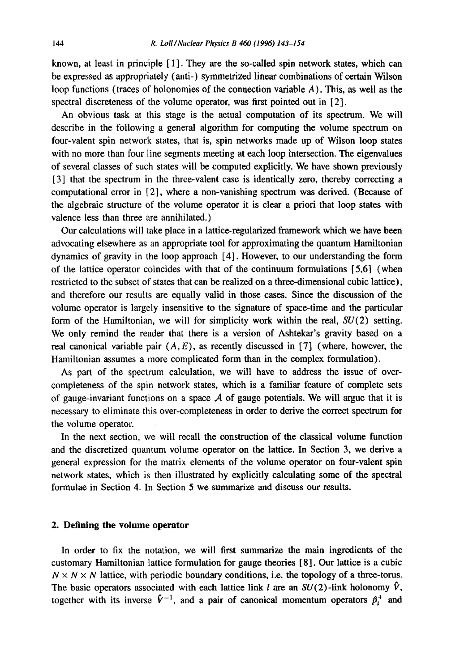known, at least in principle  $[1]$ . They are the so-called spin network states, which can be expressed as appropriately (anti-) symmetrized linear combinations of certain Wilson loop functions (traces of holonomies of the connection variable A). This, as well as the spectral discreteness of the volume operator, was first pointed out in [2].

An obvious task at this stage is the actual computation of its spectrum. We will describe in the following a general algorithm for computing the volume spectrum on four-valent spin network states, that is, spin networks made up of Wilson loop states with no more than four line segments meeting at each loop intersection. The eigenvalues of several classes of such states will be computed explicitly. We have shown previously [3] that the spectrum in the three-valent case is identically zero, thereby correcting a computational error in [2], where a non-vanishing spectrum was derived. (Because of the algebraic structure of the volume operator it is clear a priori that loop states with valence less than three are annihilated.)

Our calculations will take place in a lattice-regularized framework which we have been advocating elsewhere as an appropriate tool for approximating the quantum Hamiltonian dynamics of gravity in the loop approach [4]. However, to our understanding the form of the lattice operator coincides with that of the continuum formulations [5,6] (when restricted to the subset of states that can be realized on a three-dimensional cubic lattice), and therefore our results are equally valid in those cases. Since the discussion of the volume operator is largely insensitive to the signature of space-time and the particular form of the Hamiltonian, we will for simplicity work within the real,  $SU(2)$  setting. We only remind the reader that there is a version of Ashtekar's gravity based on a real canonical variable pair  $(A, E)$ , as recently discussed in [7] (where, however, the Hamiltonian assumes a more complicated form than in the complex formulation).

As part of the spectrum calculation, we will have to address the issue of overcompleteness of the spin network states, which is a familiar feature of complete sets of gauge-invariant functions on a space  $A$  of gauge potentials. We will argue that it is necessary to eliminate this over-completeness in order to derive the correct spectrum for the volume operator.

In the next section, we will recall the construction of the classical volume function and the discretized quantum volume operator on the lattice. In Section 3, we derive a general expression for the matrix elements of the volume operator on four-valent spin network states, which is then illustrated by explicitly calculating some of the spectral formulae in Section 4. In Section 5 we summarize and discuss our results.

# **2. Defining the volume operator**

In order to fix the notation, we will first summarize the main ingredients of the customary Hamiltonian lattice formulation for gauge theories [8]. Our lattice is a cubic  $N \times N \times N$  lattice, with periodic boundary conditions, i.e. the topology of a three-torus. The basic operators associated with each lattice link l are an  $SU(2)$ -link holonomy  $\hat{V}$ , together with its inverse  $\hat{V}^{-1}$ , and a pair of canonical momentum operators  $\hat{p}_i^+$  and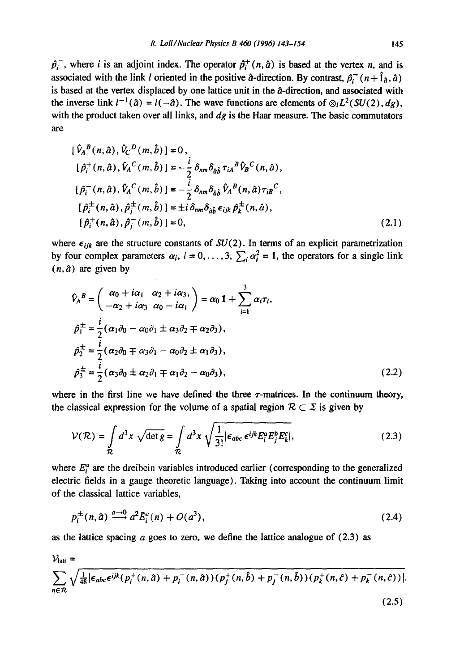$\hat{p}_i^+$ , where *i* is an adjoint index. The operator  $\hat{p}_i^+(n,\hat{a})$  is based at the vertex *n*, and is associated with the link *l* oriented in the positive  $\hat{a}$ -direction. By contrast,  $\hat{p}_i^-(n + \hat{1}_{\hat{a}}, \hat{a})$ is based at the vertex displaced by one lattice unit in the  $\hat{a}$ -direction, and associated with the inverse link  $l^{-1}(\hat{a}) = l(-\hat{a})$ . The wave functions are elements of  $\otimes_l L^2(SU(2), dg)$ , with the product taken over all links, and *dg* is the Haar measure. The basic commutators are

$$
[\hat{V}_{A}{}^{B}(n,\hat{a}), \hat{V}_{C}{}^{D}(m,\hat{b})] = 0,\n[\hat{p}_{i}^{+}(n,\hat{a}), \hat{V}_{A}{}^{C}(m,\hat{b})] = -\frac{i}{2} \delta_{nm} \delta_{\hat{a}\hat{b}} \tau_{iA}{}^{B} \hat{V}_{B}{}^{C}(n,\hat{a}),\n[\hat{p}_{i}^{-}(n,\hat{a}), \hat{V}_{A}{}^{C}(m,\hat{b})] = -\frac{i}{2} \delta_{nm} \delta_{\hat{a}\hat{b}} \hat{V}_{A}{}^{B}(n,\hat{a}) \tau_{iB}{}^{C},\n[\hat{p}_{i}^{\pm}(n,\hat{a}), \hat{p}_{j}^{\pm}(m,\hat{b})] = \pm i \delta_{nm} \delta_{\hat{a}\hat{b}} \epsilon_{ijk} \hat{p}_{k}^{\pm}(n,\hat{a}),\n[\hat{p}_{i}^{+}(n,\hat{a}), \hat{p}_{j}^{-}(m,\hat{b})] = 0,
$$
\n(2.1)

where  $\epsilon_{ijk}$  are the structure constants of  $SU(2)$ . In terms of an explicit parametrization by four complex parameters  $\alpha_i$ ,  $i = 0, \ldots, 3$ ,  $\sum_i \alpha_i^2 = 1$ , the operators for a single link  $(n, \hat{a})$  are given by

$$
\hat{V}_A^B = \begin{pmatrix} \alpha_0 + i\alpha_1 & \alpha_2 + i\alpha_3, \\ -\alpha_2 + i\alpha_3 & \alpha_0 - i\alpha_1 \end{pmatrix} = \alpha_0 \mathbf{1} + \sum_{i=1}^3 \alpha_i \tau_i,
$$
  
\n
$$
\hat{p}_1^{\pm} = \frac{i}{2} (\alpha_1 \partial_0 - \alpha_0 \partial_1 \pm \alpha_3 \partial_2 \mp \alpha_2 \partial_3),
$$
  
\n
$$
\hat{p}_2^{\pm} = \frac{i}{2} (\alpha_2 \partial_0 \mp \alpha_3 \partial_1 - \alpha_0 \partial_2 \pm \alpha_1 \partial_3),
$$
  
\n
$$
\hat{p}_3^{\pm} = \frac{i}{2} (\alpha_3 \partial_0 \pm \alpha_2 \partial_1 \mp \alpha_1 \partial_2 - \alpha_0 \partial_3),
$$
\n(2.2)

where in the first line we have defined the three  $\tau$ -matrices. In the continuum theory, the classical expression for the volume of a spatial region  $\mathcal{R} \subset \Sigma$  is given by

$$
\mathcal{V}(\mathcal{R}) = \int_{\mathcal{R}} d^3x \sqrt{\det g} = \int_{\mathcal{R}} d^3x \sqrt{\frac{1}{3!} |\epsilon_{abc} \epsilon^{ijk} E_i^a E_j^b E_k^c|},
$$
 (2.3)

where  $E_i^a$  are the dreibein variables introduced earlier (corresponding to the generalized electric fields in a gauge theoretic language). Taking into account the continuum limit of the classical lattice variables,

$$
p_i^{\pm}(n,\hat{a}) \xrightarrow{a \to 0} a^2 \tilde{E}_i^a(n) + O(a^3), \qquad (2.4)
$$

as the lattice spacing  $a$  goes to zero, we define the lattice analogue of  $(2.3)$  as

$$
\mathcal{V}_{\text{latt}} = \sum_{n \in \mathcal{R}} \sqrt{\frac{1}{48} |\epsilon_{abc} \epsilon^{ijk} (p_i^+(n, \hat{a}) + p_i^-(n, \hat{a})) (p_j^+(n, \hat{b}) + p_j^-(n, \hat{b})) (p_k^+(n, \hat{c}) + p_k^-(n, \hat{c}))|}.
$$
\n(2.5)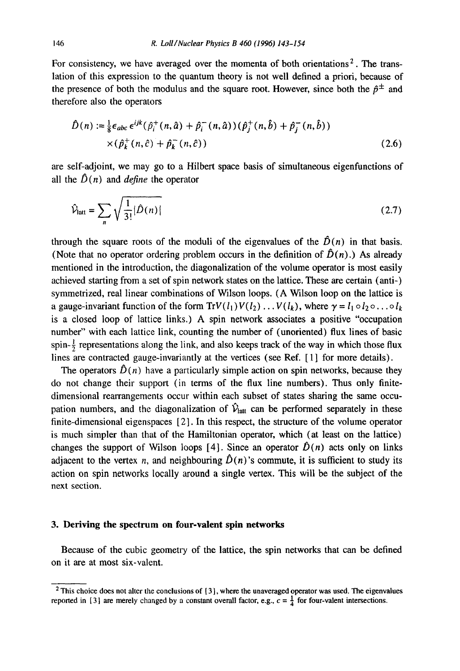For consistency, we have averaged over the momenta of both orientations<sup>2</sup>. The translation of this expression to the quantum theory is not well defined a priori, because of the presence of both the modulus and the square root. However, since both the  $\hat{p}^{\pm}$  and therefore also the operators

$$
\hat{D}(n) := \frac{1}{8} \epsilon_{abc} \epsilon^{ijk} (\hat{p}_i^+(n, \hat{a}) + \hat{p}_i^-(n, \hat{a})) (\hat{p}_j^+(n, \hat{b}) + \hat{p}_j^-(n, \hat{b})) \times (\hat{p}_k^+(n, \hat{c}) + \hat{p}_k^-(n, \hat{c}))
$$
\n(2.6)

are self-adjoint, we may go to a Hilbert space basis of simultaneous eigenfunctions of all the  $\hat{D}(n)$  and *define* the operator

$$
\hat{V}_{\text{latt}} = \sum_{n} \sqrt{\frac{1}{3!} |\hat{D}(n)|} \tag{2.7}
$$

through the square roots of the moduli of the eigenvalues of the  $\hat{D}(n)$  in that basis. (Note that no operator ordering problem occurs in the definition of  $\hat{D}(n)$ .) As already mentioned in the introduction, the diagonalization of the volume operator is most easily achieved starting from a set of spin network states on the lattice. These are certain (anti-) symmetrized, real linear combinations of Wilson loops. (A Wilson loop on the lattice is a gauge-invariant function of the form  $Tr V(l_1)V(l_2) \ldots V(l_k)$ , where  $\gamma = l_1 \circ l_2 \circ \ldots \circ l_k$ is a closed loop of lattice links.) A spin network associates a positive "occupation number" with each lattice link, counting the number of (unoriented) flux lines of basic spin- $\frac{1}{2}$  representations along the link, and also keeps track of the way in which those flux lines are contracted gauge-invariantly at the vertices (see Ref. [ 1] for more details).

The operators  $\hat{D}(n)$  have a particularly simple action on spin networks, because they do not change their support (in terms of the flux line numbers). Thus only finitedimensional rearrangements occur within each subset of states sharing the same occupation numbers, and the diagonalization of  $\hat{\mathcal{V}}_{\text{latt}}$  can be performed separately in these finite-dimensional eigenspaces [2]. In this respect, the structure of the volume operator is much simpler than that of the Hamiltonian operator, which (at least on the lattice) changes the support of Wilson loops [4]. Since an operator  $\hat{D}(n)$  acts only on links adjacent to the vertex n, and neighbouring  $\hat{D}(n)$ 's commute, it is sufficient to study its action on spin networks locally around a single vertex. This will be the subject of the next section.

# **3. Deriving the spectrum on four-valent spin networks**

Because of the cubic geometry of the lattice, the spin networks that can be defined on it are at most six-valent.

<sup>2</sup> This choice does not alter the conclusions of [3], where the unaveraged operator was used. The **eigenvalues**  reported in [3] are merely changed by a constant overall factor, e.g.,  $c = \frac{1}{4}$  for four-valent intersections.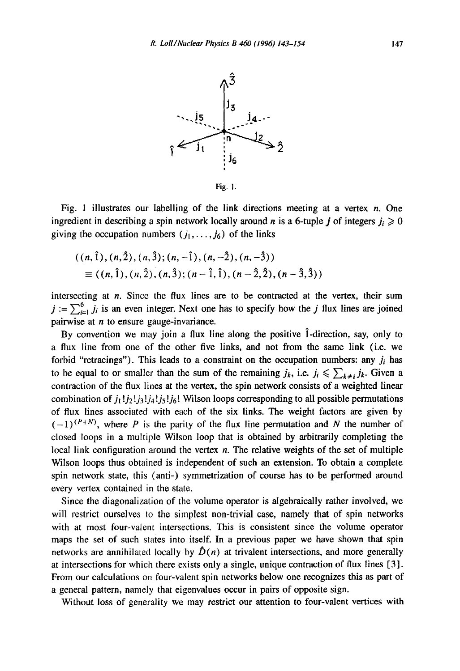

Fig. I.

Fig. 1 illustrates our labelling of the link directions meeting at a vertex  $n$ . One ingredient in describing a spin network locally around *n* is a 6-tuple *j* of integers  $j_i \geq 0$ giving the occupation numbers  $(j_1, \ldots, j_6)$  of the links

$$
((n, \hat{1}), (n, \hat{2}), (n, \hat{3}); (n, -\hat{1}), (n, -\hat{2}), (n, -\hat{3}))
$$
  
 
$$
\equiv ((n, \hat{1}), (n, \hat{2}), (n, \hat{3}); (n - \hat{1}, \hat{1}), (n - \hat{2}, \hat{2}), (n - \hat{3}, \hat{3}))
$$

intersecting at n. Since the flux lines are to be contracted at the vertex, their sum  $j := \sum_{i=1}^{6} j_i$  is an even integer. Next one has to specify how the j flux lines are joined pairwise at  $n$  to ensure gauge-invariance.

By convention we may join a flux line along the positive  $\hat{1}$ -direction, say, only to a flux line from one of the other five links, and not from the same link (i.e. we forbid "retracings"). This leads to a constraint on the occupation numbers: any  $j_i$  has to be equal to or smaller than the sum of the remaining  $j_k$ , i.e.  $j_i \leq \sum_{k \neq i} j_k$ . Given a contraction of the flux lines at the vertex, the spin network consists of a weighted linear combination of  $j_1!j_2!j_3!j_4!j_5!j_6!$  Wilson loops corresponding to all possible permutations of flux lines associated with each of the six links. The weight factors are given by  $(-1)^{(P+N)}$ , where P is the parity of the flux line permutation and N the number of closed loops in a multiple Wilson loop that is obtained by arbitrarily completing the local link configuration around the vertex  $n$ . The relative weights of the set of multiple Wilson loops thus obtained is independent of such an extension. To obtain a complete spin network state, this (anti-) symmetrization of course has to be performed around every vertex contained in the state.

Since the diagonalization of the volume operator is algebraically rather involved, we will restrict ourselves to the simplest non-trivial case, namely that of spin networks with at most four-valent intersections. This is consistent since the volume operator maps the set of such states into itself. In a previous paper we have shown that spin networks are annihilated locally by  $\hat{D}(n)$  at trivalent intersections, and more generally at intersections for which there exists only a single, unique contraction of flux lines [ 3 ]. From our calculations on four-valent spin networks below one recognizes this as part of a general pattern, namely that eigenvalues occur in pairs of opposite sign.

Without loss of generality we may restrict our attention to four-valent vertices with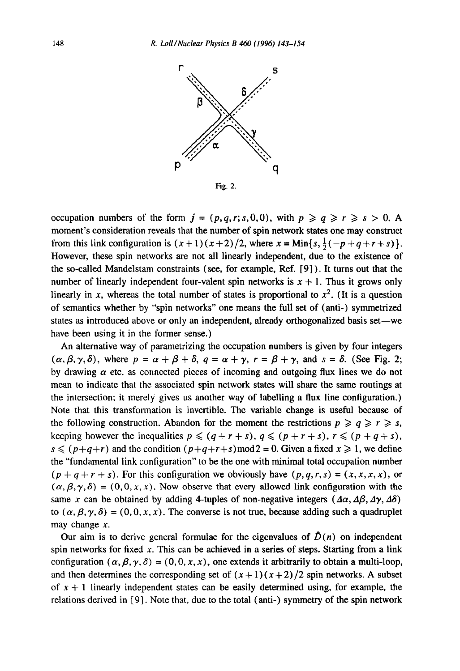

occupation numbers of the form  $j = (p,q,r; s,0,0)$ , with  $p \geq q \geq r \geq s > 0$ . moment's consideration reveals that the number of spin network states one may construct from this link configuration is  $(x+1)(x+2)/2$ , where  $x = \text{Min}\{s, \frac{1}{2}(-p+q+r+s)\}.$ However, these spin networks are not all linearly independent, due to the existence of the so-called Mandelstam constraints (see, for example, Ref. [9] ). It turns out that the number of linearly independent four-valent spin networks is  $x + 1$ . Thus it grows only linearly in x, whereas the total number of states is proportional to  $x^2$ . (It is a question of semantics whether by "spin networks" one means the full set of (anti-) symmetrized states as introduced above or only an independent, already orthogonalized basis set—we have been using it in the former sense.)

An alternative way of parametrizing the occupation numbers is given by four integers  $(\alpha, \beta, \gamma, \delta)$ , where  $p = \alpha + \beta + \delta$ ,  $q = \alpha + \gamma$ ,  $r = \beta + \gamma$ , and  $s = \delta$ . (See Fig. 2; by drawing  $\alpha$  etc. as connected pieces of incoming and outgoing flux lines we do not mean to indicate that the associated spin network states will share the same routings at the intersection; it merely gives us another way of labelling a flux line configuration.) Note that this transformation is invertible. The variable change is useful because of the following construction. Abandon for the moment the restrictions  $p \geqslant q \geqslant r \geqslant s$ , keeping however the inequalities  $p \leq (q + r + s), q \leq (p + r + s), r \leq (p + q + s),$  $s \leq (p+q+r)$  and the condition  $(p+q+r+s) \mod 2 = 0$ . Given a fixed  $x \geq 1$ , we define the "fundamental link configuration" to be the one with minimal total occupation number  $(p+q+r+s)$ . For this configuration we obviously have  $(p,q,r,s) = (x,x,x,x)$ , or  $(\alpha, \beta, \gamma, \delta) = (0, 0, x, x)$ . Now observe that every allowed link configuration with the same x can be obtained by adding 4-tuples of non-negative integers  $(\Delta \alpha, \Delta \beta, \Delta \gamma, \Delta \delta)$ to  $(\alpha, \beta, \gamma, \delta) = (0, 0, x, x)$ . The converse is not true, because adding such a quadruplet may change  $x$ .

Our aim is to derive general formulae for the eigenvalues of  $\hat{D}(n)$  on independent spin networks for fixed x. This can be achieved in a series of steps. Starting from a link configuration  $(\alpha, \beta, \gamma, \delta) = (0, 0, x, x)$ , one extends it arbitrarily to obtain a multi-loop, and then determines the corresponding set of  $(x+1)(x+2)/2$  spin networks. A subset of  $x + 1$  linearly independent states can be easily determined using, for example, the relations derived in [9]. Note that, due to the total (anti-) symmetry of the spin network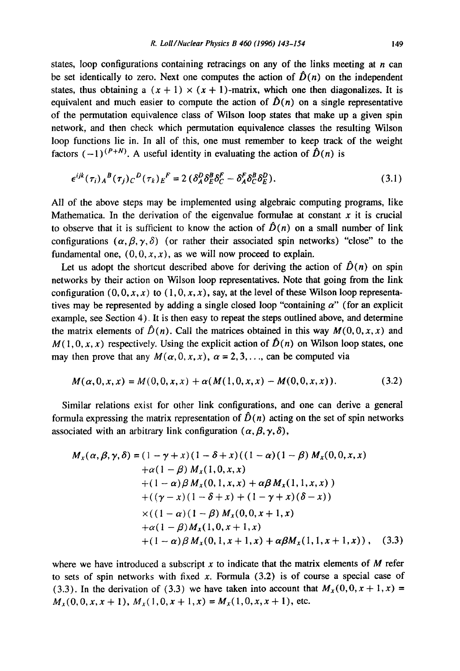states, loop configurations containing retracings on any of the links meeting at  $n$  can be set identically to zero. Next one computes the action of  $\hat{D}(n)$  on the independent states, thus obtaining a  $(x + 1) \times (x + 1)$ -matrix, which one then diagonalizes. It is equivalent and much easier to compute the action of  $\hat{D}(n)$  on a single representative of the permutation equivalence class of Wilson loop states that make up a given spin network, and then check which permutation equivalence classes the resulting Wilson loop functions lie in. In all of this, one must remember to keep track of the weight factors  $(-1)^{(P+N)}$ . A useful identity in evaluating the action of  $\hat{D}(n)$  is

$$
\epsilon^{ijk}(\tau_i)_A{}^B(\tau_j)_C{}^D(\tau_k)_E{}^F = 2\left(\delta_A^D \delta_E^B \delta_C^F - \delta_A^F \delta_C^B \delta_E^D\right). \tag{3.1}
$$

All of the above steps may be implemented using algebraic computing programs, like Mathematica. In the derivation of the eigenvalue formulae at constant  $x$  it is crucial to observe that it is sufficient to know the action of  $\hat{D}(n)$  on a small number of link configurations  $(\alpha, \beta, \gamma, \delta)$  (or rather their associated spin networks) "close" to the fundamental one,  $(0, 0, x, x)$ , as we will now proceed to explain.

Let us adopt the shortcut described above for deriving the action of  $\hat{D}(n)$  on spin networks by their action on Wilson loop representatives. Note that going from the link configuration  $(0, 0, x, x)$  to  $(1, 0, x, x)$ , say, at the level of these Wilson loop representatives may be represented by adding a single closed loop "containing  $\alpha$ " (for an explicit example, see Section 4). It is then easy to repeat the steps outlined above, and determine the matrix elements of  $\hat{D}(n)$ . Call the matrices obtained in this way  $M(0,0,x,x)$  and  $M(1,0,x,x)$  respectively. Using the explicit action of  $\hat{D}(n)$  on Wilson loop states, one may then prove that any  $M(\alpha, 0, x, x)$ ,  $\alpha = 2, 3, \ldots$ , can be computed via

$$
M(\alpha,0,x,x) = M(0,0,x,x) + \alpha(M(1,0,x,x) - M(0,0,x,x)).
$$
\n(3.2)

Similar relations exist for other link configurations, and one can derive a general formula expressing the matrix representation of  $\hat{D}(n)$  acting on the set of spin networks associated with an arbitrary link configuration  $(\alpha, \beta, \gamma, \delta)$ ,

$$
M_x(\alpha, \beta, \gamma, \delta) = (1 - \gamma + x)(1 - \delta + x)((1 - \alpha)(1 - \beta) M_x(0, 0, x, x)+ \alpha(1 - \beta) M_x(1, 0, x, x)+ (1 - \alpha)\beta M_x(0, 1, x, x) + \alpha\beta M_x(1, 1, x, x))+ ((\gamma - x)(1 - \delta + x) + (1 - \gamma + x)(\delta - x))× ((1 - \alpha)(1 - \beta) M_x(0, 0, x + 1, x)+ \alpha(1 - \beta) M_x(1, 0, x + 1, x)+ (1 - \alpha)\beta M_x(0, 1, x + 1, x) + \alpha\beta M_x(1, 1, x + 1, x)), (3.3)
$$

where we have introduced a subscript  $x$  to indicate that the matrix elements of  $M$  refer to sets of spin networks with fixed x. Formula  $(3.2)$  is of course a special case of (3.3). In the derivation of (3.3) we have taken into account that  $M_x(0,0,x+1,x)$  =  $M_x(0,0,x,x+1)$ ,  $M_x(1,0,x+1,x) = M_x(1,0,x,x+1)$ , etc.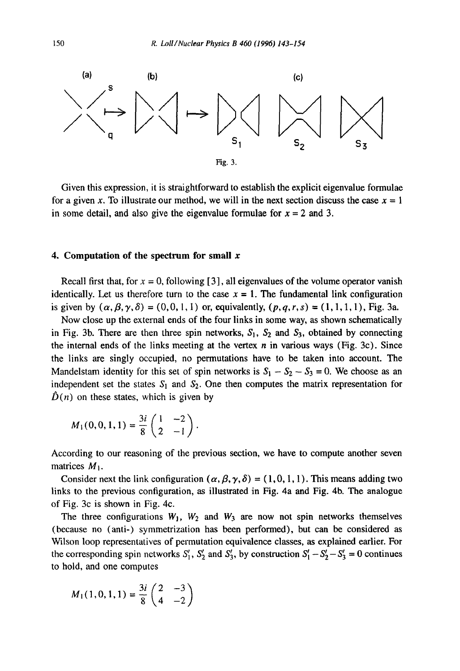

Given this expression, it is straightforward to establish the explicit eigenvalue formulae for a given x. To illustrate our method, we will in the next section discuss the case  $x = 1$ in some detail, and also give the eigenvalue formulae for  $x = 2$  and 3.

## **4. Computation of the spectrum for small x**

Recall first that, for  $x = 0$ , following [3], all eigenvalues of the volume operator vanish identically. Let us therefore turn to the case  $x = 1$ . The fundamental link configuration is given by  $(\alpha, \beta, \gamma, \delta) = (0, 0, 1, 1)$  or, equivalently,  $(p, q, r, s) = (1, 1, 1, 1)$ , Fig. 3a.

Now close up the external ends of the four links in some way, as shown schematically in Fig. 3b. There are then three spin networks,  $S_1$ ,  $S_2$  and  $S_3$ , obtained by connecting the internal ends of the links meeting at the vertex  $n$  in various ways (Fig. 3c). Since the links are singly occupied, no permutations have to be taken into account. The Mandelstam identity for this set of spin networks is  $S_1 - S_2 - S_3 = 0$ . We choose as an independent set the states  $S_1$  and  $S_2$ . One then computes the matrix representation for  $\hat{D}(n)$  on these states, which is given by

$$
M_1(0,0,1,1)=\frac{3i}{8}\begin{pmatrix}1&-2\\2&-1\end{pmatrix}.
$$

According to our reasoning of the previous section, we have to compute another seven matrices  $M_1$ .

Consider next the link configuration  $(\alpha, \beta, \gamma, \delta) = (1, 0, 1, 1)$ . This means adding two links to the previous configuration, as illustrated in Fig. 4a and Fig. 4b. The analogue of Fig. 3c is shown in Fig. 4c.

The three configurations  $W_1$ ,  $W_2$  and  $W_3$  are now not spin networks themselves (because no (anti-) symmetrization has been performed), but can be considered as Wilson loop representatives of permutation equivalence classes, as explained earlier. For the corresponding spin networks  $S'_1$ ,  $S'_2$  and  $S'_3$ , by construction  $S'_1 - S'_2 - S'_3 = 0$  continues to hold, and one computes

$$
M_1(1,0,1,1)=\frac{3i}{8}\begin{pmatrix}2&-3\\4&-2\end{pmatrix}
$$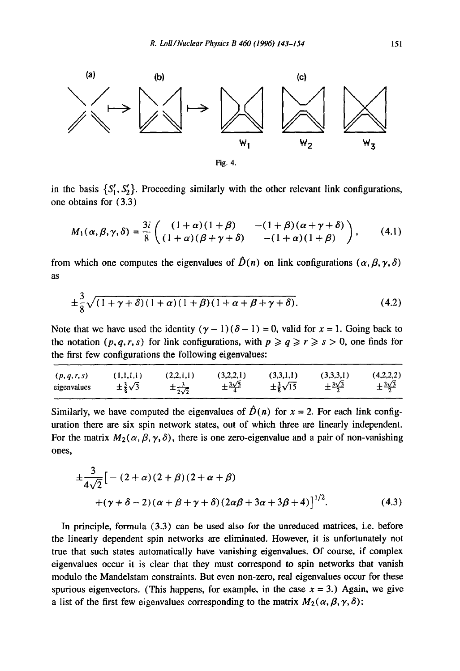

in the basis  $\{S_1, S_2\}$ . Proceeding similarly with the other relevant link configurations, one obtains for (3.3)

$$
M_1(\alpha,\beta,\gamma,\delta)=\frac{3i}{8}\begin{pmatrix} (1+\alpha)(1+\beta) & -(1+\beta)(\alpha+\gamma+\delta) \\ (1+\alpha)(\beta+\gamma+\delta) & -(1+\alpha)(1+\beta) \end{pmatrix},\qquad(4.1)
$$

from which one computes the eigenvalues of  $\hat{D}(n)$  on link configurations  $(\alpha, \beta, \gamma, \delta)$ as

$$
\pm \frac{3}{8}\sqrt{(1+\gamma+\delta)(1+\alpha)(1+\beta)(1+\alpha+\beta+\gamma+\delta)}.
$$
 (4.2)

Note that we have used the identity  $(\gamma - 1)(\delta - 1) = 0$ , valid for  $x = 1$ . Going back to the notation  $(p, q, r, s)$  for link configurations, with  $p \ge q \ge r \ge s > 0$ , one finds for the first few configurations the following eigenvalues:

| (p, q, r, s) | (1,1,1,1)                | (2,2,1,1)                 | (3,2,2,1)                 | (3,3,1,1)                 | (3,3,3,1)                 | (4,2,2,2)                 |
|--------------|--------------------------|---------------------------|---------------------------|---------------------------|---------------------------|---------------------------|
| eigenvalues  | $\pm\frac{3}{8}\sqrt{3}$ | $\pm \frac{3}{2\sqrt{2}}$ | $\pm \frac{3\sqrt{5}}{4}$ | $\pm\frac{3}{8}\sqrt{15}$ | $\pm \frac{3\sqrt{3}}{2}$ | $\pm \frac{3\sqrt{3}}{2}$ |

Similarly, we have computed the eigenvalues of  $\hat{D}(n)$  for  $x = 2$ . For each link configuration there are six spin network states, out of which three are linearly independent. For the matrix  $M_2(\alpha,\beta,\gamma,\delta)$ , there is one zero-eigenvalue and a pair of non-vanishing ones,

$$
\pm \frac{3}{4\sqrt{2}} \left[ -(2+\alpha)(2+\beta)(2+\alpha+\beta) + (\gamma+\delta-2)(\alpha+\beta+\gamma+\delta)(2\alpha\beta+3\alpha+3\beta+4) \right]^{1/2}.
$$
 (4.3)

In principle, formula (3.3) can be used also for the unreduced matrices, i.e. before the linearly dependent spin networks are eliminated. However, it is unfortunately not true that such states automatically have vanishing eigenvalues. Of course, if complex eigenvalues occur it is clear that they must correspond to spin networks that vanish modulo the Mandelstam constraints. But even non-zero, real eigenvalues occur for these spurious eigenvectors. (This happens, for example, in the case  $x = 3$ .) Again, we give a list of the first few eigenvalues corresponding to the matrix  $M_2(\alpha, \beta, \gamma, \delta)$ :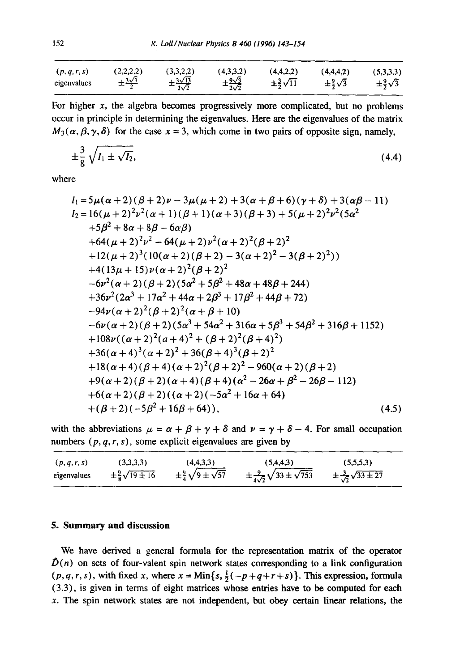| (p,q,r,s)   | (2,2,2,2)                 | (3,3,2,2)                         | (4,3,3,2)                         | (4,4,2,2)                 | (4.4.4.2)                | (5,3,3,3)                |
|-------------|---------------------------|-----------------------------------|-----------------------------------|---------------------------|--------------------------|--------------------------|
| eigenvalues | $\pm \frac{3\sqrt{3}}{2}$ | $\pm\frac{3\sqrt{13}}{2\sqrt{2}}$ | $\pm \frac{9\sqrt{3}}{2\sqrt{2}}$ | $\pm\frac{3}{2}\sqrt{11}$ | $\pm\frac{9}{2}\sqrt{3}$ | $\pm\frac{9}{2}\sqrt{3}$ |

For higher  $x$ , the algebra becomes progressively more complicated, but no problems occur in principle in determining the eigenvalues. Here are the eigenvalues of the matrix  $M_3(\alpha, \beta, \gamma, \delta)$  for the case  $x = 3$ , which come in two pairs of opposite sign, namely,

$$
\pm \frac{3}{8} \sqrt{I_1 \pm \sqrt{I_2}},\tag{4.4}
$$

where

$$
I_1 = 5\mu(\alpha + 2)(\beta + 2)\nu - 3\mu(\mu + 2) + 3(\alpha + \beta + 6)(\gamma + \delta) + 3(\alpha\beta - 11)
$$
  
\n
$$
I_2 = 16(\mu + 2)^2\nu^2(\alpha + 1)(\beta + 1)(\alpha + 3)(\beta + 3) + 5(\mu + 2)^2\nu^2(5\alpha^2 + 5\beta^2 + 8\alpha + 8\beta - 6\alpha\beta)
$$
  
\n+64(\mu + 2)^2\nu^2 - 64(\mu + 2)\nu^2(\alpha + 2)^2(\beta + 2)^2  
\n+12(\mu + 2)^3(10(\alpha + 2)(\beta + 2) - 3(\alpha + 2)^2 - 3(\beta + 2)^2))  
\n+4(13\mu + 15)\nu(\alpha + 2)^2(\beta + 2)^2  
\n-6\nu^2(\alpha + 2)(\beta + 2)(5\alpha^2 + 5\beta^2 + 48\alpha + 48\beta + 244)  
\n+36\nu^2(2\alpha^3 + 17\alpha^2 + 44\alpha + 2\beta^3 + 17\beta^2 + 44\beta + 72)  
\n-94\nu(\alpha + 2)^2(\beta + 2)^2(\alpha + \beta + 10)  
\n-6\nu(\alpha + 2)(\beta + 2)(5\alpha^3 + 54\alpha^2 + 316\alpha + 5\beta^3 + 54\beta^2 + 316\beta + 1152)  
\n+108\nu((\alpha + 2)^2(\alpha + 4)^2 + (\beta + 2)^2(\beta + 4)^2)  
\n+36(\alpha + 4)^3(\alpha + 2)^2 + 36(\beta + 4)^3(\beta + 2)^2  
\n+18(\alpha + 4)(\beta + 4)(\alpha + 2)^2(\beta + 2)^2 - 960(\alpha + 2)(\beta + 2)  
\n+9(\alpha + 2)(\beta + 2)(\alpha + 4)(\beta + 4)(\alpha^2 - 26\alpha + \beta^2 - 26\beta - 112)  
\n+6(\alpha + 2)(\beta + 2)(\alpha + 4)(\beta + 4)(\alpha^2 - 26\alpha + \beta^2 - 26\beta - 112)  
\n+6(\alpha + 2)(\beta + 2)((\alpha + 2)(-5\alpha

with the abbreviations  $\mu = \alpha + \beta + \gamma + \delta$  and  $\nu = \gamma + \delta - 4$ . For small occupation numbers  $(p, q, r, s)$ , some explicit eigenvalues are given by

| (p,q,r,s)   | (3,3,3,3)                      | (4,4,3,3)                            | (5,4,4,3)                                       | (5,5,5,3)                             |
|-------------|--------------------------------|--------------------------------------|-------------------------------------------------|---------------------------------------|
| eigenvalues | $\pm\frac{9}{8}\sqrt{19\pm16}$ | $\pm\frac{9}{4}\sqrt{9\pm\sqrt{57}}$ | $\pm \frac{9}{4\sqrt{2}}\sqrt{33\pm\sqrt{753}}$ | $\pm\frac{3}{\sqrt{2}}\sqrt{33\pm27}$ |

## **5. Summary and discussion**

We have derived a general formula for the representation matrix of the operator  $\hat{D}(n)$  on sets of four-valent spin network states corresponding to a link configuration  $(p, q, r, s)$ , with fixed x, where  $x = Min\{s, \frac{1}{2}(-p+q+r+s)\}$ . This expression, formula (3.3), is given in terms of eight matrices whose entries have to be computed for each  $x$ . The spin network states are not independent, but obey certain linear relations, the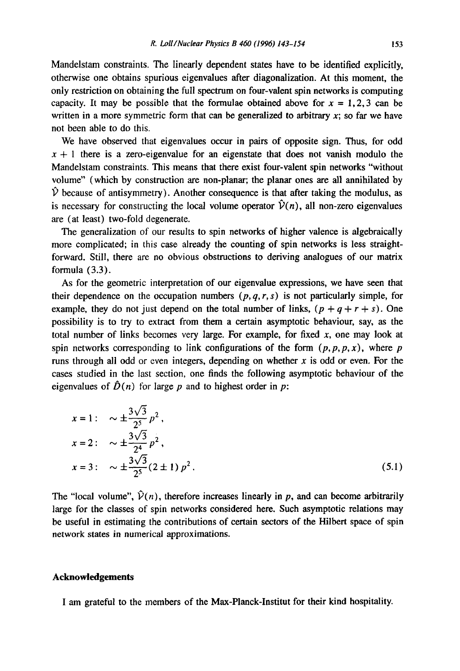Mandelstam constraints. The linearly dependent states have to be identified explicitly, otherwise one obtains spurious eigenvalues after diagonalization. At this moment, the only restriction on obtaining the full spectrum on four-valent spin networks is computing capacity. It may be possible that the formulae obtained above for  $x = 1, 2, 3$  can be written in a more symmetric form that can be generalized to arbitrary  $x$ ; so far we have not been able to do this.

We have observed that eigenvalues occur in pairs of opposite sign. Thus, for odd  $x + 1$  there is a zero-eigenvalue for an eigenstate that does not vanish modulo the Mandelstam constraints. This means that there exist four-valent spin networks "without volume" (which by construction are non-planar; the planar ones are all annihilated by  $\hat{V}$  because of antisymmetry). Another consequence is that after taking the modulus, as is necessary for constructing the local volume operator  $\hat{V}(n)$ , all non-zero eigenvalues are (at least) two-fold degenerate.

The generalization of our results to spin networks of higher valence is algebraically more complicated; in this case already the counting of spin networks is less straightforward. Still, there are no obvious obstructions to deriving analogues of our matrix formula (3.3).

As for the geometric interpretation of our eigenvalue expressions, we have seen that their dependence on the occupation numbers  $(p, q, r, s)$  is not particularly simple, for example, they do not just depend on the total number of links,  $(p+q+r+s)$ . One possibility is to try to extract from them a certain asymptotic behaviour, say, as the total number of links becomes very large. For example, for fixed  $x$ , one may look at spin networks corresponding to link configurations of the form  $(p, p, p, x)$ , where p runs through all odd or even integers, depending on whether  $x$  is odd or even. For the cases studied in the last section, one finds the following asymptotic behaviour of the eigenvalues of  $\hat{D}(n)$  for large p and to highest order in p:

$$
x = 1: \quad \sim \pm \frac{3\sqrt{3}}{2^5} p^2,
$$
  
\n
$$
x = 2: \quad \sim \pm \frac{3\sqrt{3}}{2^4} p^2,
$$
  
\n
$$
x = 3: \quad \sim \pm \frac{3\sqrt{3}}{2^5} (2 \pm 1) p^2.
$$
\n(5.1)

The "local volume",  $\hat{V}(n)$ , therefore increases linearly in p, and can become arbitrarily large for the classes of spin networks considered here. Such asymptotic relations may be useful in estimating the contributions of certain sectors of the Hilbert space of spin network states in numerical approximations.

#### **Acknowledgements**

I am grateful to the members of the Max-Planck-Institut for their kind hospitality.